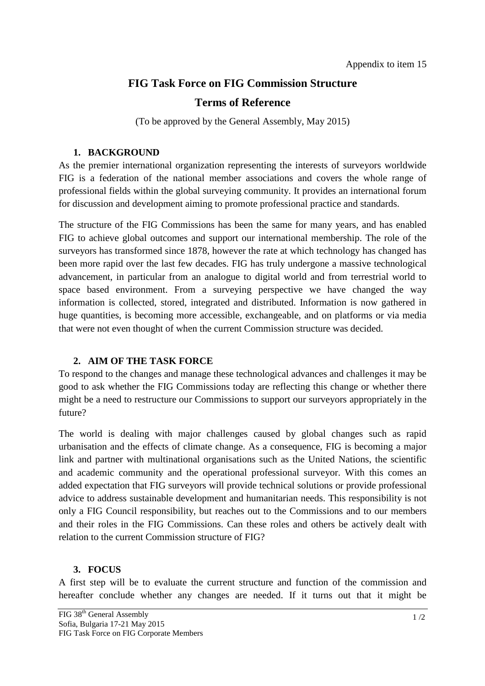# **FIG Task Force on FIG Commission Structure**

### **Terms of Reference**

(To be approved by the General Assembly, May 2015)

#### **1. BACKGROUND**

As the premier international organization representing the interests of surveyors worldwide FIG is a federation of the national member associations and covers the whole range of professional fields within the global surveying community. It provides an international forum for discussion and development aiming to promote professional practice and standards.

The structure of the FIG Commissions has been the same for many years, and has enabled FIG to achieve global outcomes and support our international membership. The role of the surveyors has transformed since 1878, however the rate at which technology has changed has been more rapid over the last few decades. FIG has truly undergone a massive technological advancement, in particular from an analogue to digital world and from terrestrial world to space based environment. From a surveying perspective we have changed the way information is collected, stored, integrated and distributed. Information is now gathered in huge quantities, is becoming more accessible, exchangeable, and on platforms or via media that were not even thought of when the current Commission structure was decided.

### **2. AIM OF THE TASK FORCE**

To respond to the changes and manage these technological advances and challenges it may be good to ask whether the FIG Commissions today are reflecting this change or whether there might be a need to restructure our Commissions to support our surveyors appropriately in the future?

The world is dealing with major challenges caused by global changes such as rapid urbanisation and the effects of climate change. As a consequence, FIG is becoming a major link and partner with multinational organisations such as the United Nations, the scientific and academic community and the operational professional surveyor. With this comes an added expectation that FIG surveyors will provide technical solutions or provide professional advice to address sustainable development and humanitarian needs. This responsibility is not only a FIG Council responsibility, but reaches out to the Commissions and to our members and their roles in the FIG Commissions. Can these roles and others be actively dealt with relation to the current Commission structure of FIG?

### **3. FOCUS**

A first step will be to evaluate the current structure and function of the commission and hereafter conclude whether any changes are needed. If it turns out that it might be